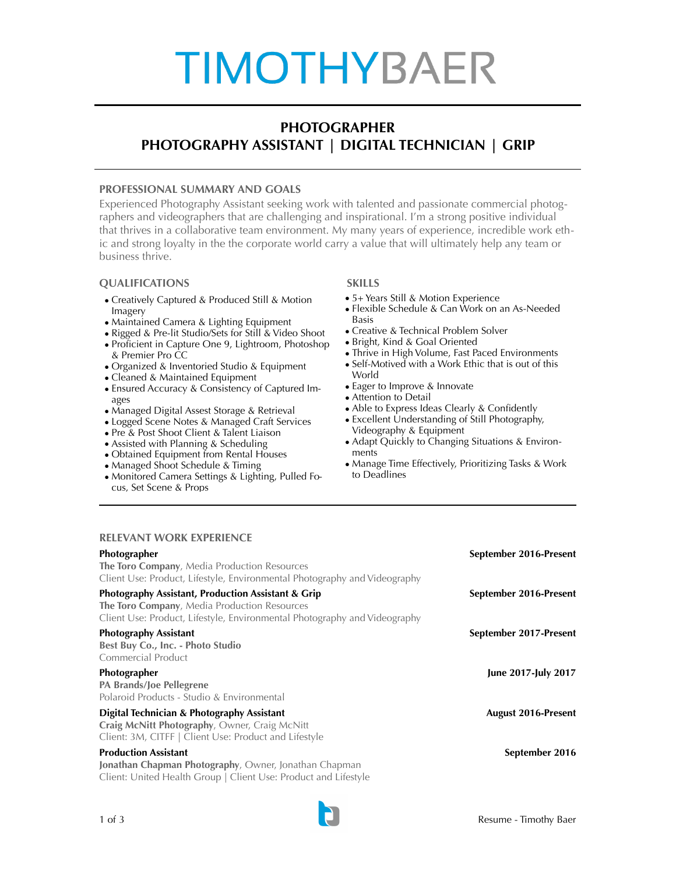# **TIMOTHYBAER**

## **PHOTOGRAPHER PHOTOGRAPHY ASSISTANT | DIGITAL TECHNICIAN | GRIP**

### **PROFESSIONAL SUMMARY AND GOALS**

Experienced Photography Assistant seeking work with talented and passionate commercial photographers and videographers that are challenging and inspirational. I'm a strong positive individual that thrives in a collaborative team environment. My many years of experience, incredible work ethic and strong loyalty in the the corporate world carry a value that will ultimately help any team or business thrive.

## **QUALIFICATIONS SKILLS**

- Creatively Captured & Produced Still & Motion Imagery
- Maintained Camera & Lighting Equipment
- Rigged & Pre-lit Studio/Sets for Still & Video Shoot
- Proficient in Capture One 9, Lightroom, Photoshop & Premier Pro CC
- Organized & Inventoried Studio & Equipment
- Cleaned & Maintained Equipment
- Ensured Accuracy & Consistency of Captured Images
- Managed Digital Assest Storage & Retrieval
- Logged Scene Notes & Managed Craft Services
- Pre & Post Shoot Client & Talent Liaison
- Assisted with Planning & Scheduling
- Obtained Equipment from Rental Houses
- Managed Shoot Schedule & Timing
- Monitored Camera Settings & Lighting, Pulled Focus, Set Scene & Props

- 5+ Years Still & Motion Experience
- Flexible Schedule & Can Work on an As-Needed Basis
- Creative & Technical Problem Solver
- Bright, Kind & Goal Oriented
- Thrive in High Volume, Fast Paced Environments
- Self-Motived with a Work Ethic that is out of this World
- Eager to Improve & Innovate
- Attention to Detail
- Able to Express Ideas Clearly & Confidently
- Excellent Understanding of Still Photography, Videography & Equipment
- Adapt Quickly to Changing Situations & Environments
- Manage Time Effectively, Prioritizing Tasks & Work to Deadlines

### **RELEVANT WORK EXPERIENCE**

| Photographer<br><b>The Toro Company, Media Production Resources</b><br>Client Use: Product, Lifestyle, Environmental Photography and Videography                                           | September 2016-Present     |
|--------------------------------------------------------------------------------------------------------------------------------------------------------------------------------------------|----------------------------|
| <b>Photography Assistant, Production Assistant &amp; Grip</b><br>The Toro Company, Media Production Resources<br>Client Use: Product, Lifestyle, Environmental Photography and Videography | September 2016-Present     |
| <b>Photography Assistant</b><br>Best Buy Co., Inc. - Photo Studio<br>Commercial Product                                                                                                    | September 2017-Present     |
| <b>Photographer</b><br>PA Brands/Joe Pellegrene<br>Polaroid Products - Studio & Environmental                                                                                              | June 2017-July 2017        |
| Digital Technician & Photography Assistant<br>Craig McNitt Photography, Owner, Craig McNitt<br>Client: 3M, CITFF   Client Use: Product and Lifestyle                                       | <b>August 2016-Present</b> |
| <b>Production Assistant</b><br>Jonathan Chapman Photography, Owner, Jonathan Chapman<br>Client: United Health Group   Client Use: Product and Lifestyle                                    | September 2016             |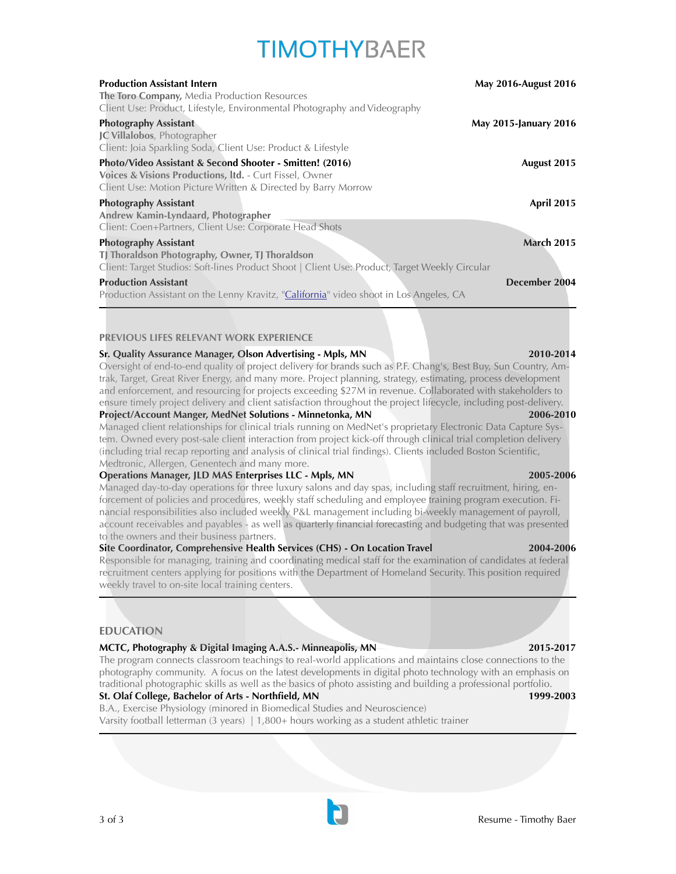## **TIMOTHYBAFR**

| <b>Production Assistant Intern</b><br>The Toro Company, Media Production Resources<br>Client Use: Product, Lifestyle, Environmental Photography and Videography                      | <b>May 2016-August 2016</b> |
|--------------------------------------------------------------------------------------------------------------------------------------------------------------------------------------|-----------------------------|
| <b>Photography Assistant</b><br><b>JC Villalobos</b> , Photographer<br>Client: Joia Sparkling Soda, Client Use: Product & Lifestyle                                                  | May 2015-January 2016       |
| Photo/Video Assistant & Second Shooter - Smitten! (2016)<br>Voices & Visions Productions, Itd. - Curt Fissel, Owner<br>Client Use: Motion Picture Written & Directed by Barry Morrow | August 2015                 |
| <b>Photography Assistant</b><br>Andrew Kamin-Lyndaard, Photographer<br>Client: Coen+Partners, Client Use: Corporate Head Shots                                                       | <b>April 2015</b>           |
| <b>Photography Assistant</b><br>TJ Thoraldson Photography, Owner, TJ Thoraldson<br>Client: Target Studios: Soft-lines Product Shoot   Client Use: Product, Target Weekly Circular    | <b>March 2015</b>           |
| <b>Production Assistant</b><br>Production Assistant on the Lenny Kravitz, "California" video shoot in Los Angeles, CA                                                                | December 2004               |

#### **PREVIOUS LIFES RELEVANT WORK EXPERIENCE**

#### **Sr. Quality Assurance Manager, Olson Advertising - Mpls, MN 2010-2014**

Oversight of end-to-end quality of project delivery for brands such as P.F. Chang's, Best Buy, Sun Country, Amtrak, Target, Great River Energy, and many more. Project planning, strategy, estimating, process development and enforcement, and resourcing for projects exceeding \$27M in revenue. Collaborated with stakeholders to ensure timely project delivery and client satisfaction throughout the project lifecycle, including post-delivery.<br>**Project/Account Manger, MedNet Solutions - Minnetonka, MN** 2006-2010

#### **Project/Account Manger, MedNet Solutions - Minnetonka, MN**

Managed client relationships for clinical trials running on MedNet's proprietary Electronic Data Capture System. Owned every post-sale client interaction from project kick-off through clinical trial completion delivery (including trial recap reporting and analysis of clinical trial findings). Clients included Boston Scientific, Medtronic, Allergen, Genentech and many more.

#### **Operations Manager, JLD MAS Enterprises LLC - Mpls, MN 2005-2006**

Managed day-to-day operations for three luxury salons and day spas, including staff recruitment, hiring, enforcement of policies and procedures, weekly staff scheduling and employee training program execution. Financial responsibilities also included weekly P&L management including bi-weekly management of payroll, account receivables and payables - as well as quarterly financial forecasting and budgeting that was presented to the owners and their business partners.

#### **Site Coordinator, Comprehensive Health Services (CHS) - On Location Travel 2004-2006**

Responsible for managing, training and coordinating medical staff for the examination of candidates at federal recruitment centers applying for positions with the Department of Homeland Security. This position required weekly travel to on-site local training centers.

#### **EDUCATION**

#### **MCTC, Photography & Digital Imaging A.A.S.- Minneapolis, MN 2015-2017**

The program connects classroom teachings to real-world applications and maintains close connections to the photography community. A focus on the latest developments in digital photo technology with an emphasis on traditional photographic skills as well as the basics of photo assisting and building a professional portfolio.

#### **St. Olaf College, Bachelor of Arts - Northfield, MN 1999-2003**

B.A., Exercise Physiology (minored in Biomedical Studies and Neuroscience) Varsity football letterman (3 years) | 1,800+ hours working as a student athletic trainer